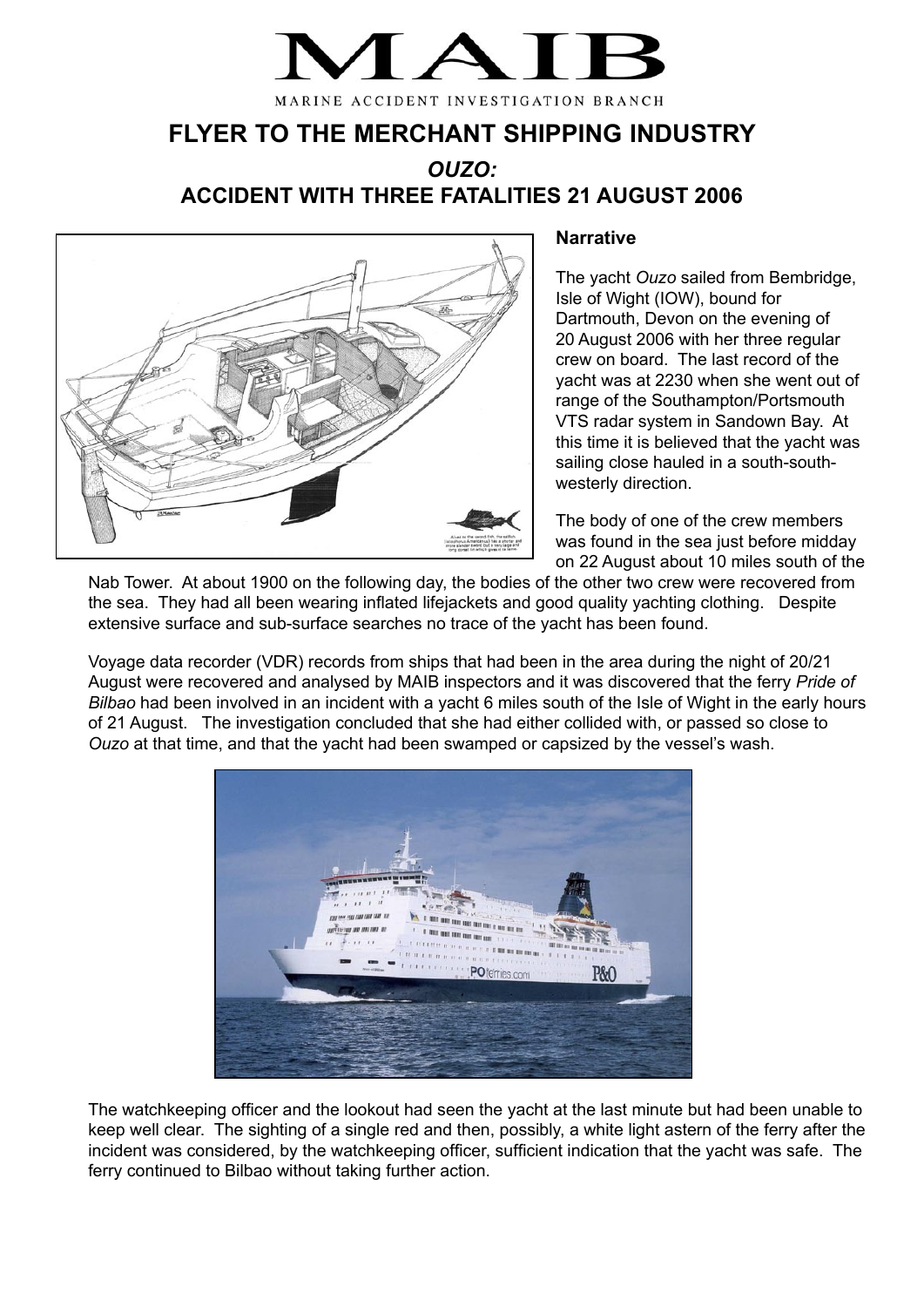## MARINE ACCIDENT INVESTIGATION BRANCH

**FLYER TO THE MERCHANT SHIPPING INDUSTRY**

*OUZO:* **ACCIDENT WITH THREE FATALITIES 21 AUGUST 2006**



## **Narrative**

The yacht *Ouzo* sailed from Bembridge, Isle of Wight (IOW), bound for Dartmouth, Devon on the evening of 20 August 2006 with her three regular crew on board. The last record of the yacht was at 2230 when she went out of range of the Southampton/Portsmouth VTS radar system in Sandown Bay. At this time it is believed that the yacht was sailing close hauled in a south-southwesterly direction.

The body of one of the crew members was found in the sea just before midday on 22 August about 10 miles south of the

Nab Tower. At about 1900 on the following day, the bodies of the other two crew were recovered from the sea. They had all been wearing inflated lifejackets and good quality yachting clothing. Despite extensive surface and sub-surface searches no trace of the yacht has been found.

Voyage data recorder (VDR) records from ships that had been in the area during the night of 20/21 August were recovered and analysed by MAIB inspectors and it was discovered that the ferry *Pride of Bilbao* had been involved in an incident with a yacht 6 miles south of the Isle of Wight in the early hours of 21 August. The investigation concluded that she had either collided with, or passed so close to *Ouzo* at that time, and that the yacht had been swamped or capsized by the vessel's wash.



The watchkeeping officer and the lookout had seen the yacht at the last minute but had been unable to keep well clear. The sighting of a single red and then, possibly, a white light astern of the ferry after the incident was considered, by the watchkeeping officer, sufficient indication that the yacht was safe. The ferry continued to Bilbao without taking further action.